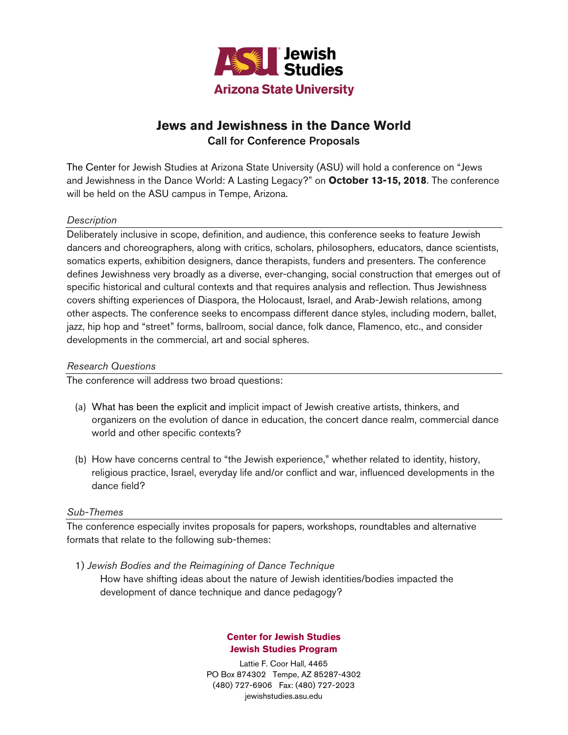

# **Jews and Jewishness in the Dance World Call for Conference Proposals**

The Center for Jewish Studies at Arizona State University (ASU) will hold a conference on "Jews and Jewishness in the Dance World: A Lasting Legacy?" on **October 13-15, 2018**. The conference will be held on the ASU campus in Tempe, Arizona.

# **Description**

Deliberately inclusive in scope, definition, and audience, this conference seeks to feature Jewish dancers and choreographers, along with critics, scholars, philosophers, educators, dance scientists, somatics experts, exhibition designers, dance therapists, funders and presenters. The conference defines Jewishness very broadly as a diverse, ever-changing, social construction that emerges out of specific historical and cultural contexts and that requires analysis and reflection. Thus Jewishness covers shifting experiences of Diaspora, the Holocaust, Israel, and Arab-Jewish relations, among other aspects. The conference seeks to encompass different dance styles, including modern, ballet, jazz, hip hop and "street" forms, ballroom, social dance, folk dance, Flamenco, etc., and consider developments in the commercial, art and social spheres.

# Research Questions

The conference will address two broad questions:

- (a) What has been the explicit and implicit impact of Jewish creative artists, thinkers, and organizers on the evolution of dance in education, the concert dance realm, commercial dance world and other specific contexts?
- (b) How have concerns central to "the Jewish experience," whether related to identity, history, religious practice, Israel, everyday life and/or conflict and war, influenced developments in the dance field?

# Sub-Themes

The conference especially invites proposals for papers, workshops, roundtables and alternative formats that relate to the following sub-themes:

1) Jewish Bodies and the Reimagining of Dance Technique How have shifting ideas about the nature of Jewish identities/bodies impacted the development of dance technique and dance pedagogy?

# **Center for Jewish Studies Jewish Studies Program**

Lattie F. Coor Hall, 4465 PO Box 874302 Tempe, AZ 85287-4302 (480) 727-6906 Fax: (480) 727-2023 jewishstudies.asu.edu